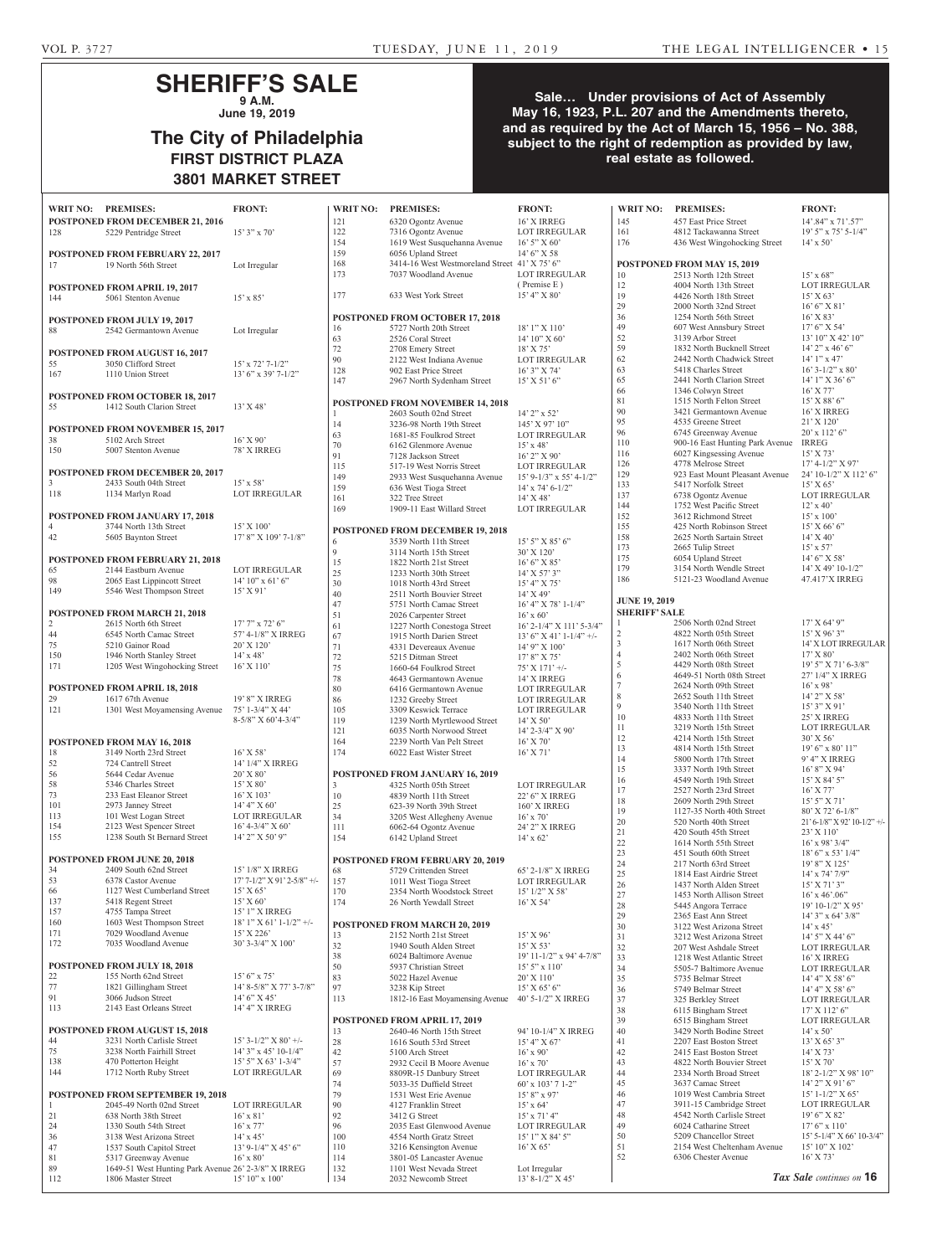## **SHERIFF'S SALE 9 A.M.**

**June 19, 2019**

# **The City of Philadelphia FIRST DISTRICT PLAZA 3801 MARKET STREET**

## **Sale… Under provisions of Act of Assembly May 16, 1923, P.L. 207 and the Amendments thereto, and as required by the Act of March 15, 1956 – No. 388, subject to the right of redemption as provided by law, real estate as followed.**

| WRIT NO: PREMISES:   |                                                                     | <b>FRONT:</b>                        |
|----------------------|---------------------------------------------------------------------|--------------------------------------|
|                      | <b>POSTPONED FROM DECEMBER 21, 2016</b>                             |                                      |
| 128                  | 5229 Pentridge Street                                               | $15'3''$ x 70'                       |
|                      |                                                                     |                                      |
|                      | POSTPONED FROM FEBRUARY 22, 2017                                    |                                      |
| 17                   | 19 North 56th Street                                                | Lot Irregular                        |
|                      |                                                                     |                                      |
|                      | <b>POSTPONED FROM APRIL 19, 2017</b>                                |                                      |
| 144                  | 5061 Stenton Avenue                                                 | $15' \times 85'$                     |
|                      |                                                                     |                                      |
|                      | <b>POSTPONED FROM JULY 19, 2017</b>                                 |                                      |
| 88                   | 2542 Germantown Avenue                                              | Lot Irregular                        |
|                      |                                                                     |                                      |
|                      | POSTPONED FROM AUGUST 16, 2017                                      |                                      |
| 55                   | 3050 Clifford Street                                                | $15'$ x $72'$ 7- $1/2''$             |
| 167                  | 1110 Union Street                                                   | 13' 6" x 39' 7-1/2"                  |
|                      |                                                                     |                                      |
| 55                   | <b>POSTPONED FROM OCTOBER 18, 2017</b><br>1412 South Clarion Street | 13' X 48'                            |
|                      |                                                                     |                                      |
|                      | <b>POSTPONED FROM NOVEMBER 15, 2017</b>                             |                                      |
| 38                   | 5102 Arch Street                                                    | $16'$ X 90'                          |
| 150                  | 5007 Stenton Avenue                                                 | 78' X IRREG                          |
|                      |                                                                     |                                      |
|                      | POSTPONED FROM DECEMBER 20, 2017                                    |                                      |
| 3                    | 2433 South 04th Street                                              | $15' \times 58'$                     |
| 118                  | 1134 Marlyn Road                                                    | <b>LOT IRREGULAR</b>                 |
|                      |                                                                     |                                      |
|                      | <b>POSTPONED FROM JANUARY 17, 2018</b>                              |                                      |
| 4                    | 3744 North 13th Street                                              | 15' X 100'                           |
| 42                   | 5605 Baynton Street                                                 | 17' 8" X 109' 7-1/8"                 |
|                      |                                                                     |                                      |
|                      | <b>POSTPONED FROM FEBRUARY 21, 2018</b>                             |                                      |
| 65                   | 2144 Eastburn Avenue                                                | <b>LOT IRREGULAR</b>                 |
| 98                   | 2065 East Lippincott Street                                         | $14'$ $10''$ x $61'$ $6''$           |
| 149                  | 5546 West Thompson Street                                           | $15'$ X 91'                          |
|                      |                                                                     |                                      |
|                      | POSTPONED FROM MARCH 21, 2018                                       |                                      |
| $\overline{2}$<br>44 | 2615 North 6th Street                                               | $17'7''$ x $72'6''$                  |
| 75                   | 6545 North Camac Street<br>5210 Gainor Road                         | 57' 4-1/8" X IRREG<br>$20'$ X $120'$ |
| 150                  | 1946 North Stanley Street                                           | $14' \times 48'$                     |
| 171                  | 1205 West Wingohocking Street                                       | $16'$ X $110'$                       |
|                      |                                                                     |                                      |
|                      | <b>POSTPONED FROM APRIL 18, 2018</b>                                |                                      |
| 29                   | 1617 67th Avenue                                                    | 19' 8" X IRREG                       |
| 121                  | 1301 West Moyamensing Avenue                                        | 75' 1-3/4" X 44'                     |
|                      |                                                                     | 8-5/8" X 60'4-3/4"                   |
|                      |                                                                     |                                      |
|                      | POSTPONED FROM MAY 16, 2018                                         |                                      |
| 18                   | 3149 North 23rd Street                                              | $16'$ X 58'                          |
| 52                   | 724 Cantrell Street                                                 | 14' 1/4" X IRREG                     |
| 56                   | 5644 Cedar Avenue                                                   | 20' X 80'                            |
| 58                   | 5346 Charles Street                                                 | 15' X 80'                            |
| 73                   | 233 East Eleanor Street                                             | $16'$ X $103'$                       |
| 101<br>113           | 2973 Janney Street<br>101 West Logan Street                         | 14' 4" X 60'<br>LOT IRREGULAR        |
| 154                  | 2123 West Spencer Street                                            | $16'$ 4-3/4" X 60'                   |
| 155                  | 1238 South St Bernard Street                                        | 14' 2" X 50' 9"                      |
|                      |                                                                     |                                      |
|                      | POSTPONED FROM JUNE 20, 2018                                        |                                      |
| 34                   | 2409 South 62nd Street                                              | 15' 1/8" X IRREG                     |
| 53                   | 6378 Castor Avenue                                                  | 17' 7-1/2" X 91' 2-5/8" +/-          |
| 66                   | 1127 West Cumberland Street                                         | 15' X 65'                            |
| 137                  | 5418 Regent Street                                                  | $15^{\circ}\, \mathrm{X}$ 60'        |
| 157                  | 4755 Tampa Street                                                   | 15' 1" X IRREG                       |
| 160                  | 1603 West Thompson Street                                           | $18'1''$ X 61' 1-1/2" +/-            |
| 171                  | 7029 Woodland Avenue                                                | 15' X 226'                           |
| 172                  | 7035 Woodland Avenue                                                | 30' 3-3/4" X 100'                    |
|                      |                                                                     |                                      |
| 22                   | <b>POSTPONED FROM JULY 18, 2018</b><br>155 North 62nd Street        | $15'6''$ x 75'                       |
| 77                   | 1821 Gillingham Street                                              | 14' 8-5/8" X 77' 3-7/8"              |
| 91                   | 3066 Judson Street                                                  | $14'6''$ X 45'                       |
| 113                  | 2143 East Orleans Street                                            | 14' 4" X IRREG                       |
|                      |                                                                     |                                      |
|                      | POSTPONED FROM AUGUST 15, 2018                                      |                                      |
| 44                   | 3231 North Carlisle Street                                          | $15'3 - 1/2''$ X 80' +/-             |
| 75                   | 3238 North Fairhill Street                                          | 14' 3" x 45' 10-1/4"                 |
| 138                  | 470 Potterton Height                                                | 15' 5" X 63' 1-3/4"                  |
| 144                  | 1712 North Ruby Street                                              | <b>LOT IRREGULAR</b>                 |
|                      |                                                                     |                                      |
|                      | POSTPONED FROM SEPTEMBER 19, 2018                                   |                                      |
| $\mathbf{1}$         | 2045-49 North 02nd Street                                           | LOT IRREGULAR                        |
| 21<br>24             | 638 North 38th Street                                               | $16'$ x $81'$                        |
| 36                   | 1330 South 54th Street<br>3138 West Arizona Street                  | $16'$ x $77'$<br>$14'$ x $45'$       |
| 47                   | 1537 South Capitol Street                                           | 13' 9-1/4" X 45' 6"                  |
| 81                   | 5317 Greenway Avenue                                                | $16'$ x $80'$                        |
| 89                   | 1649-51 West Hunting Park Avenue 26' 2-3/8" X IRREG                 |                                      |

112 1806 Master Street 15' 10" x 100'

|                    | <b>WRIT NO:</b> | <b>PREMISES:</b>                                      | <b>FRONT:</b>                               | <b>WRIT NO:</b>      | <b>PREMISES:</b>                                      | <b>FRONT:</b>                     |
|--------------------|-----------------|-------------------------------------------------------|---------------------------------------------|----------------------|-------------------------------------------------------|-----------------------------------|
|                    | 121             | 6320 Ogontz Avenue                                    | 16' X IRREG                                 | 145                  | 457 East Price Street                                 | $14'$ , $84''$ x 2                |
|                    | 122             | 7316 Ogontz Avenue                                    | <b>LOT IRREGULAR</b>                        | 161                  | 4812 Tackawanna Street                                | $19'5''$ x 75                     |
|                    | 154             | 1619 West Susquehanna Avenue                          | $16'5''$ X 60'                              | 176                  | 436 West Wingohocking Street                          | $14' \times 50'$                  |
|                    | 159             | 6056 Upland Street                                    | $14'6''$ X 58                               |                      |                                                       |                                   |
|                    | 168             | 3414-16 West Westmoreland Street 41' X 75' 6"         |                                             |                      | <b>POSTPONED FROM MAY 15, 2019</b>                    |                                   |
|                    | 173             | 7037 Woodland Avenue                                  | <b>LOT IRREGULAR</b>                        | 10                   | 2513 North 12th Street                                | $15'$ x 68"                       |
|                    |                 |                                                       | (Premise E)                                 | 12                   | 4004 North 13th Street                                | <b>LOT IRRE</b>                   |
|                    | 177             | 633 West York Street                                  | 15' 4'' X 80'                               | 19                   | 4426 North 18th Street                                | 15' X 63'                         |
|                    |                 |                                                       |                                             | 29                   | 2000 North 32nd Street                                | 16' 6'' X 8                       |
|                    |                 | <b>POSTPONED FROM OCTOBER 17, 2018</b>                |                                             | 36                   | 1254 North 56th Street                                | $16'$ X 83'                       |
|                    | 16              | 5727 North 20th Street                                | 18' 1" X 110'                               | 49                   | 607 West Annsbury Street                              | 17' 6'' X 5                       |
|                    | 63              | 2526 Coral Street                                     | 14' 10'' X 60'                              | 52<br>59             | 3139 Arbor Street<br>1832 North Bucknell Street       | 13' 10" X<br>$14'$ 2" x 46        |
|                    | 72<br>90        | 2708 Emery Street<br>2122 West Indiana Avenue         | 18' X 75'<br><b>LOT IRREGULAR</b>           | 62                   | 2442 North Chadwick Street                            | $14'1''$ x 47                     |
|                    | 128             | 902 East Price Street                                 | $16'3''$ X 74'                              | 63                   | 5418 Charles Street                                   | $16'$ 3- $1/2"$                   |
|                    | 147             | 2967 North Sydenham Street                            | $15'$ X 51' 6"                              | 65                   | 2441 North Clarion Street                             | $14'1''$ X 3                      |
|                    |                 |                                                       |                                             | 66                   | 1346 Colwyn Street                                    | $16'$ X 77'                       |
|                    |                 | <b>POSTPONED FROM NOVEMBER 14, 2018</b>               |                                             | 81                   | 1515 North Felton Street                              | $15'$ X 88' $\epsilon$            |
|                    | $\mathbf{1}$    | 2603 South 02nd Street                                | $14'$ 2" x 52"                              | 90                   | 3421 Germantown Avenue                                | 16' X IRR                         |
|                    | 14              | 3236-98 North 19th Street                             | $145'$ X 97' $10''$                         | 95                   | 4535 Greene Street                                    | $21'$ X $120'$                    |
|                    | 63              | 1681-85 Foulkrod Street                               | LOT IRREGULAR                               | 96                   | 6745 Greenway Avenue                                  | $20'$ x 112 <sup>2</sup>          |
|                    | 70              | 6162 Glenmore Avenue                                  | $15'$ x 48'                                 | 110                  | 900-16 East Hunting Park Avenue                       | <b>IRREG</b>                      |
|                    | 91              | 7128 Jackson Street                                   | $16'$ 2" X 90'                              | 116                  | 6027 Kingsessing Avenue                               | $15'$ X 73'                       |
|                    | 115             | 517-19 West Norris Street                             | <b>LOT IRREGULAR</b>                        | 126                  | 4778 Melrose Street                                   | $17' 4 - 1/2''$                   |
|                    | 149             | 2933 West Susquehanna Avenue                          | $15'$ 9-1/3" x 55' 4-1/2"                   | 129<br>133           | 923 East Mount Pleasant Avenue<br>5417 Norfolk Street | $24' 10 - 1/2$<br>15' X 65'       |
|                    | 159             | 636 West Tioga Street                                 | $14'$ x 74' 6-1/2"                          | 137                  | 6738 Ogontz Avenue                                    | <b>LOT IRRE</b>                   |
|                    | 161             | 322 Tree Street                                       | $14'$ X 48'                                 | 144                  | 1752 West Pacific Street                              | $12' \times 40'$                  |
|                    | 169             | 1909-11 East Willard Street                           | <b>LOT IRREGULAR</b>                        | 152                  | 3612 Richmond Street                                  | $15' \times 100'$                 |
|                    |                 |                                                       |                                             | 155                  | 425 North Robinson Street                             | $15'$ X 66' $\epsilon$            |
|                    |                 | <b>POSTPONED FROM DECEMBER 19, 2018</b>               |                                             | 158                  | 2625 North Sartain Street                             | $14'$ X $40'$                     |
|                    | 6<br>9          | 3539 North 11th Street<br>3114 North 15th Street      | $15'$ 5" X 85' 6"<br>30' X 120'             | 173                  | 2665 Tulip Street                                     | $15' \times 57'$                  |
|                    | 15              | 1822 North 21st Street                                | 16' 6'' X 85'                               | 175                  | 6054 Upland Street                                    | $14'6''$ X 5                      |
|                    | 25              | 1233 North 30th Street                                | 14' X 57' 3"                                | 179                  | 3154 North Wendle Street                              | $14'$ X 49' 1                     |
|                    | 30              | 1018 North 43rd Street                                | $15'$ 4" X 75'                              | 186                  | 5121-23 Woodland Avenue                               | 47.417'X I                        |
|                    | 40              | 2511 North Bouvier Street                             | $14'$ X 49'                                 |                      |                                                       |                                   |
|                    | 47              | 5751 North Camac Street                               | $16'$ 4" X 78' 1-1/4"                       | <b>JUNE 19, 2019</b> |                                                       |                                   |
|                    | 51              | 2026 Carpenter Street                                 | $16'$ x 60'                                 | <b>SHERIFF' SALE</b> |                                                       |                                   |
|                    | 61              | 1227 North Conestoga Street                           | 16' 2-1/4" X 111' 5-3/4"                    | 1                    | 2506 North 02nd Street                                | 17' X 64'                         |
|                    | 67              | 1915 North Darien Street                              | $13'$ 6" X 41' 1-1/4" +/-                   | $\mathfrak{2}$<br>3  | 4822 North 05th Street                                | $15'$ X 96'                       |
|                    | 71              | 4331 Devereaux Avenue                                 | $14'$ 9" X $100'$                           | $\overline{4}$       | 1617 North 06th Street<br>2402 North 06th Street      | 14' X LOT<br>17' X 80'            |
|                    | 72              | 5215 Ditman Street                                    | $17'8''$ X 75'                              | 5                    | 4429 North 08th Street                                | $19'5''$ X 7                      |
|                    | 75              | 1660-64 Foulkrod Street                               | $75'$ X $171'$ +/-                          | 6                    | 4649-51 North 08th Street                             | $27'$ $1/4''$ X                   |
|                    | 78<br>80        | 4643 Germantown Avenue<br>6416 Germantown Avenue      | 14' X IRREG                                 | $\tau$               | 2624 North 09th Street                                | $16'$ x 98'                       |
|                    | 86              | 1232 Greeby Street                                    | LOT IRREGULAR<br><b>LOT IRREGULAR</b>       | 8                    | 2652 South 11th Street                                | 14' 2" X 5                        |
|                    | 105             | 3309 Keswick Terrace                                  | <b>LOT IRREGULAR</b>                        | 9                    | 3540 North 11th Street                                | $15'3''$ X 9                      |
|                    | 119             | 1239 North Myrtlewood Street                          | $14'$ X 50'                                 | 10                   | 4833 North 11th Street                                | 25' X IRRI                        |
|                    | 121             | 6035 North Norwood Street                             | 14' 2-3/4" X 90'                            | 11                   | 3219 North 15th Street                                | <b>LOT IRRE</b>                   |
|                    | 164             | 2239 North Van Pelt Street                            | $16'$ X 70'                                 | 12                   | 4214 North 15th Street                                | 30' X 56'                         |
|                    | 174             | 6022 East Wister Street                               | $16'$ X 71'                                 | 13                   | 4814 North 15th Street                                | $19'6''$ x 80                     |
|                    |                 |                                                       |                                             | 14                   | 5800 North 17th Street                                | $9'4''$ X IR                      |
|                    |                 | POSTPONED FROM JANUARY 16, 2019                       |                                             | 15<br>16             | 3337 North 19th Street<br>4549 North 19th Street      | $16'8''$ X 9<br>$15'$ X 84'       |
|                    | 3               | 4325 North 05th Street                                | LOT IRREGULAR                               | 17                   | 2527 North 23rd Street                                | $16'$ X 77'                       |
|                    | 10              | 4839 North 11th Street                                | 22' 6" X IRREG                              | 18                   | 2609 North 29th Street                                | $15'5''$ X 7                      |
|                    | 25              | 623-39 North 39th Street                              | 160' X IRREG                                | 19                   | 1127-35 North 40th Street                             | 80' X 72' 6                       |
|                    | 34              | 3205 West Allegheny Avenue                            | $16'$ x $70'$                               | 20                   | 520 North 40th Street                                 | $21'6 - 1/8''$ X                  |
|                    | 111             | 6062-64 Ogontz Avenue                                 | 24' 2" X IRREG                              | 21                   | 420 South 45th Street                                 | 23' X 110'                        |
|                    | 154             | 6142 Upland Street                                    | $14' \times 62'$                            | 22                   | 1614 North 55th Street                                | $16'$ x 98' 3                     |
|                    |                 |                                                       |                                             | 23                   | 451 South 60th Street                                 | $18'6''$ x 53                     |
|                    |                 | <b>POSTPONED FROM FEBRUARY 20, 2019</b>               |                                             | 24                   | 217 North 63rd Street                                 | 19'8'' X1                         |
| $+/-$              | 68              | 5729 Crittenden Street                                | 65' 2-1/8" X IRREG                          | 25                   | 1814 East Airdrie Street                              | $14'$ x 74' 7                     |
|                    | 157<br>170      | 1011 West Tioga Street<br>2354 North Woodstock Street | LOT IRREGULAR<br>$15'$ $1/2''$ X 58'        | 26                   | 1437 North Alden Street                               | $15'$ X 71' 3                     |
|                    | 174             | 26 North Yewdall Street                               | $16'$ X 54'                                 | 27                   | 1453 North Allison Street                             | $16'$ x $46'$ .0                  |
|                    |                 |                                                       |                                             | 28<br>29             | 5445 Angora Terrace                                   | $19' 10 - 1/2$                    |
| /-                 |                 | <b>POSTPONED FROM MARCH 20, 2019</b>                  |                                             | 30                   | 2365 East Ann Street<br>3122 West Arizona Street      | $14'3''$ x 64<br>$14' \times 45'$ |
|                    | 13              | 2152 North 21st Street                                | 15' X 96'                                   | 31                   | 3212 West Arizona Street                              | $14'$ 5" X 4                      |
|                    | 32              | 1940 South Alden Street                               | $15'$ X 53'                                 | 32                   | 207 West Ashdale Street                               | <b>LOT IRRE</b>                   |
|                    | 38              | 6024 Baltimore Avenue                                 | 19' 11-1/2" x 94' 4-7/8"                    | 33                   | 1218 West Atlantic Street                             | 16' X IRR                         |
|                    | 50              | 5937 Christian Street                                 | $15'$ 5" x $110'$                           | 34                   | 5505-7 Baltimore Avenue                               | <b>LOT IRRE</b>                   |
|                    | 83              | 5022 Hazel Avenue                                     | $20'$ X 110 <sup><math>\degree</math></sup> | 35                   | 5735 Belmar Street                                    | 14' 4'' X 5                       |
| $S^{\prime\prime}$ | 97              | 3238 Kip Street                                       | 15' X 65' 6''                               | 36                   | 5749 Belmar Street                                    | 14' 4'' X 5                       |
|                    | 113             | 1812-16 East Moyamensing Avenue                       | 40' 5-1/2" X IRREG                          | 37                   | 325 Berkley Street                                    | <b>LOT IRRE</b>                   |
|                    |                 |                                                       |                                             | 38                   | 6115 Bingham Street                                   | 17' X 112'                        |
|                    |                 | <b>POSTPONED FROM APRIL 17, 2019</b>                  |                                             | 39                   | 6515 Bingham Street                                   | <b>LOT IRRE</b>                   |
|                    | 13              | 2640-46 North 15th Street                             | 94' 10-1/4" X IRREG                         | 40                   | 3429 North Bodine Street                              | $14' \times 50'$                  |
|                    | 28              | 1616 South 53rd Street                                | 15' 4'' X 67'                               | 41                   | 2207 East Boston Street                               | $13'$ X 65' 3                     |
|                    | 42              | 5100 Arch Street                                      | $16'$ x 90'                                 | 42                   | 2415 East Boston Street                               | $14'$ X 73'                       |
|                    | 57              | 2932 Cecil B Moore Avenue                             | $16'$ x $70'$                               | 43<br>44             | 4822 North Bouvier Street<br>2334 North Broad Street  | $15'$ X 70'                       |
|                    | 69<br>74        | 8809R-15 Danbury Street<br>5033-35 Duffield Street    | LOT IRREGULAR<br>$60'$ x $103'$ 7 1-2"      | 45                   | 3637 Camac Street                                     | $18'$ 2- $1/2''$<br>14' 2" X 9    |
|                    | 79              | 1531 West Erie Avenue                                 | $15'8''$ x 97'                              | 46                   | 1019 West Cambria Street                              | $15' 1 - 1/2''$                   |
|                    | 90              | 4127 Franklin Street                                  | $15'$ x 64'                                 | 47                   | 3911-15 Cambridge Street                              | <b>LOT IRRE</b>                   |
|                    | 92              | 3412 G Street                                         | $15'$ x $71'$ 4"                            | 48                   | 4542 North Carlisle Street                            | $19'6''$ X 8                      |
|                    | 96              | 2035 East Glenwood Avenue                             | LOT IRREGULAR                               | 49                   | 6024 Catharine Street                                 | $17'6''$ x 11                     |
|                    | 100             | 4554 North Gratz Street                               | $15'1''$ X 84' 5"                           | 50                   | 5209 Chancellor Street                                | $15'$ 5-1/4"                      |
|                    | 110             | 3216 Kensington Avenue                                | $16'$ X 65'                                 | 51                   | 2154 West Cheltenham Avenue                           | 15' 10'' X                        |
|                    | 114             | 3801-05 Lancaster Avenue                              |                                             | 52                   | 6306 Chester Avenue                                   | $16'$ X 73'                       |
|                    | 132             | 1101 West Nevada Street                               | Lot Irregular                               |                      |                                                       |                                   |
|                    | 134             | 2032 Newcomb Street                                   | 13' 8-1/2" X 45'                            |                      |                                                       | Tax Sale contin                   |

| 145                                | 457 East Price Street                                   | 14'.84" x 71'.57"                               |  |  |  |  |  |
|------------------------------------|---------------------------------------------------------|-------------------------------------------------|--|--|--|--|--|
| 161<br>176                         | 4812 Tackawanna Street<br>436 West Wingohocking Street  | 19' 5" x 75' 5-1/4"<br>$14' \times 50'$         |  |  |  |  |  |
|                                    |                                                         |                                                 |  |  |  |  |  |
| <b>POSTPONED FROM MAY 15, 2019</b> |                                                         |                                                 |  |  |  |  |  |
| 10                                 | 2513 North 12th Street                                  | $15'$ x 68"                                     |  |  |  |  |  |
| 12<br>19                           | 4004 North 13th Street<br>4426 North 18th Street        | LOT IRREGULAR<br>15' X 63'                      |  |  |  |  |  |
| 29                                 | 2000 North 32nd Street                                  | $16' 6''$ X 81'                                 |  |  |  |  |  |
| 36                                 | 1254 North 56th Street                                  | $16'$ X 83'                                     |  |  |  |  |  |
| 49                                 | 607 West Annsbury Street                                | 17' 6'' X 54'                                   |  |  |  |  |  |
| 52<br>59                           | 3139 Arbor Street<br>1832 North Bucknell Street         | 13' 10" X 42' 10"<br>14' 2" x 46' 6"            |  |  |  |  |  |
| 62                                 | 2442 North Chadwick Street                              | $14'1''$ x 47'                                  |  |  |  |  |  |
| 63                                 | 5418 Charles Street                                     | $16'$ 3- $1/2''$ x 80'                          |  |  |  |  |  |
| 65<br>66                           | 2441 North Clarion Street<br>1346 Colwyn Street         | 14' 1" X 36' 6"<br>16' X 77'                    |  |  |  |  |  |
| 81                                 | 1515 North Felton Street                                | $15'$ X 88' 6"                                  |  |  |  |  |  |
| 90                                 | 3421 Germantown Avenue                                  | 16' X IRREG                                     |  |  |  |  |  |
| 95<br>96                           | 4535 Greene Street                                      | $21'$ X $120'$<br>$20'$ x $112'$ 6"             |  |  |  |  |  |
| 110                                | 6745 Greenway Avenue<br>900-16 East Hunting Park Avenue | <b>IRREG</b>                                    |  |  |  |  |  |
| 116                                | 6027 Kingsessing Avenue                                 | $15'$ X 73'                                     |  |  |  |  |  |
| 126                                | 4778 Melrose Street                                     | 17' 4-1/2" X 97'                                |  |  |  |  |  |
| 129<br>133                         | 923 East Mount Pleasant Avenue<br>5417 Norfolk Street   | 24' 10-1/2" X 112' 6"<br>15' X 65'              |  |  |  |  |  |
| 137                                | 6738 Ogontz Avenue                                      | <b>LOT IRREGULAR</b>                            |  |  |  |  |  |
| 144                                | 1752 West Pacific Street                                | $12'$ x 40'                                     |  |  |  |  |  |
| 152                                | 3612 Richmond Street                                    | $15' \times 100'$                               |  |  |  |  |  |
| 155<br>158                         | 425 North Robinson Street<br>2625 North Sartain Street  | $15'$ X 66' 6"<br>$14'$ X $40'$                 |  |  |  |  |  |
| 173                                | 2665 Tulip Street                                       | $15' \times 57'$                                |  |  |  |  |  |
| 175                                | 6054 Upland Street                                      | $14'6''$ X 58'                                  |  |  |  |  |  |
| 179                                | 3154 North Wendle Street                                | 14' X 49' 10-1/2"                               |  |  |  |  |  |
| 186                                | 5121-23 Woodland Avenue                                 | 47.417'X IRREG                                  |  |  |  |  |  |
| <b>JUNE 19, 2019</b>               |                                                         |                                                 |  |  |  |  |  |
| <b>SHERIFF' SALE</b>               |                                                         |                                                 |  |  |  |  |  |
| 1                                  | 2506 North 02nd Street                                  | 17' X 64' 9''                                   |  |  |  |  |  |
| 2<br>3                             | 4822 North 05th Street<br>1617 North 06th Street        | $15'$ X 96' 3"<br>14' X LOT IRREGULAR           |  |  |  |  |  |
| 4                                  | 2402 North 06th Street                                  | 17' X 80'                                       |  |  |  |  |  |
| 5                                  | 4429 North 08th Street                                  | 19' 5" X 71' 6-3/8"                             |  |  |  |  |  |
| 6                                  | 4649-51 North 08th Street<br>2624 North 09th Street     | 27' 1/4" X IRREG                                |  |  |  |  |  |
| 7<br>8                             | 2652 South 11th Street                                  | $16'$ x 98'<br>$14'$ 2" X 58'                   |  |  |  |  |  |
| 9                                  | 3540 North 11th Street                                  | 15' 3" X 91'                                    |  |  |  |  |  |
| 10                                 | 4833 North 11th Street                                  | 25' X IRREG                                     |  |  |  |  |  |
| 11<br>12                           | 3219 North 15th Street<br>4214 North 15th Street        | <b>LOT IRREGULAR</b><br>$30'$ X 56 <sup>2</sup> |  |  |  |  |  |
| 13                                 | 4814 North 15th Street                                  | 19' 6" x 80' 11"                                |  |  |  |  |  |
| 14                                 | 5800 North 17th Street                                  | 9' 4" X IRREG                                   |  |  |  |  |  |
| 15                                 | 3337 North 19th Street                                  | $16'8''$ X 94'                                  |  |  |  |  |  |
| 16<br>17                           | 4549 North 19th Street<br>2527 North 23rd Street        | $15'$ X 84' 5"<br>$16'$ X 77'                   |  |  |  |  |  |
| 18                                 | 2609 North 29th Street                                  | $15'5''$ X 71'                                  |  |  |  |  |  |
| 19                                 | 1127-35 North 40th Street                               | 80' X 72' 6-1/8"                                |  |  |  |  |  |
| 20                                 | 520 North 40th Street                                   | 21' 6-1/8" X 92' 10-1/2" +/-                    |  |  |  |  |  |
| 21<br>22                           | 420 South 45th Street<br>1614 North 55th Street         | 23' X 110'<br>$16'$ x 98' 3/4"                  |  |  |  |  |  |
| 23                                 | 451 South 60th Street                                   | 18' 6" x 53' 1/4"                               |  |  |  |  |  |
| 24                                 | 217 North 63rd Street                                   | 19' 8" X 125'                                   |  |  |  |  |  |
| 25<br>26                           | 1814 East Airdrie Street<br>1437 North Alden Street     | 14' x 74' 7/9"<br>$15'$ X 71' 3"                |  |  |  |  |  |
| 27                                 | 1453 North Allison Street                               | $16'$ x $46'$ .06"                              |  |  |  |  |  |
| 28                                 | 5445 Angora Terrace                                     | 19' 10-1/2" X 95'                               |  |  |  |  |  |
| 29                                 | 2365 East Ann Street                                    | $14'$ 3" x 64' 3/8"                             |  |  |  |  |  |
| 30<br>31                           | 3122 West Arizona Street<br>3212 West Arizona Street    | $14'$ x $45'$<br>14' 5" X 44' 6"                |  |  |  |  |  |
| 32                                 | 207 West Ashdale Street                                 | LOT IRREGULAR                                   |  |  |  |  |  |
| 33                                 | 1218 West Atlantic Street                               | 16' X IRREG                                     |  |  |  |  |  |
| 34                                 | 5505-7 Baltimore Avenue                                 | <b>LOT IRREGULAR</b>                            |  |  |  |  |  |
| 35<br>36                           | 5735 Belmar Street<br>5749 Belmar Street                | 14' 4'' X 58' 6''<br>14' 4'' X 58' 6''          |  |  |  |  |  |
| 37                                 | 325 Berkley Street                                      | LOT IRREGULAR                                   |  |  |  |  |  |
| 38                                 | 6115 Bingham Street                                     | $17'$ X $112'$ 6"                               |  |  |  |  |  |
| 39                                 | 6515 Bingham Street                                     | <b>LOT IRREGULAR</b>                            |  |  |  |  |  |
| 40<br>41                           | 3429 North Bodine Street<br>2207 East Boston Street     | $14'$ x 50'<br>$13'$ X 65' 3"                   |  |  |  |  |  |
| 42                                 | 2415 East Boston Street                                 | 14' X 73'                                       |  |  |  |  |  |
| 43                                 | 4822 North Bouvier Street                               | $15'$ X 70'                                     |  |  |  |  |  |
| 44                                 | 2334 North Broad Street                                 | 18' 2-1/2" X 98' 10"                            |  |  |  |  |  |
| 45<br>46                           | 3637 Camac Street<br>1019 West Cambria Street           | 14' 2" X 91' 6"<br>$15'$ 1-1/2" X 65'           |  |  |  |  |  |
| 47                                 | 3911-15 Cambridge Street                                | LOT IRREGULAR                                   |  |  |  |  |  |
| 48                                 | 4542 North Carlisle Street                              | 19' 6" X 82'                                    |  |  |  |  |  |
| 49<br>50                           | 6024 Catharine Street<br>5209 Chancellor Street         | $17'$ 6" x $110'$<br>15' 5-1/4" X 66' 10-3/4"   |  |  |  |  |  |
| 51                                 | 2154 West Cheltenham Avenue                             | 15' 10" X 102'                                  |  |  |  |  |  |
| 52                                 | 6306 Chester Avenue                                     | 16' X 73'                                       |  |  |  |  |  |
|                                    |                                                         |                                                 |  |  |  |  |  |
|                                    |                                                         | Tax Sale continues on 16                        |  |  |  |  |  |